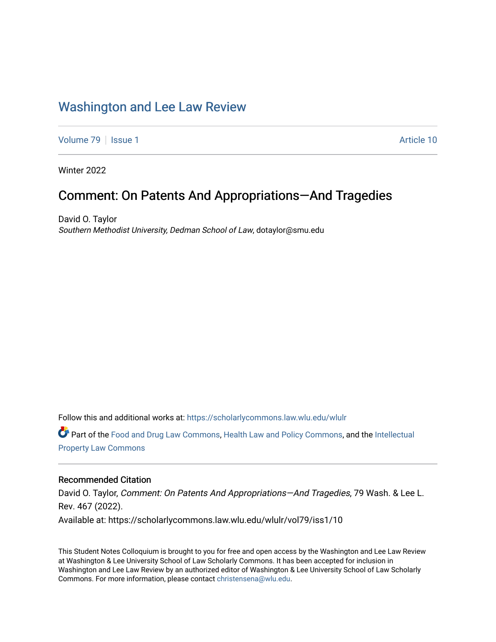## [Washington and Lee Law Review](https://scholarlycommons.law.wlu.edu/wlulr)

[Volume 79](https://scholarlycommons.law.wlu.edu/wlulr/vol79) | [Issue 1](https://scholarlycommons.law.wlu.edu/wlulr/vol79/iss1) Article 10

Winter 2022

## Comment: On Patents And Appropriations—And Tragedies

David O. Taylor Southern Methodist University, Dedman School of Law, dotaylor@smu.edu

Follow this and additional works at: [https://scholarlycommons.law.wlu.edu/wlulr](https://scholarlycommons.law.wlu.edu/wlulr?utm_source=scholarlycommons.law.wlu.edu%2Fwlulr%2Fvol79%2Fiss1%2F10&utm_medium=PDF&utm_campaign=PDFCoverPages) 

Part of the [Food and Drug Law Commons,](http://network.bepress.com/hgg/discipline/844?utm_source=scholarlycommons.law.wlu.edu%2Fwlulr%2Fvol79%2Fiss1%2F10&utm_medium=PDF&utm_campaign=PDFCoverPages) [Health Law and Policy Commons,](http://network.bepress.com/hgg/discipline/901?utm_source=scholarlycommons.law.wlu.edu%2Fwlulr%2Fvol79%2Fiss1%2F10&utm_medium=PDF&utm_campaign=PDFCoverPages) and the [Intellectual](http://network.bepress.com/hgg/discipline/896?utm_source=scholarlycommons.law.wlu.edu%2Fwlulr%2Fvol79%2Fiss1%2F10&utm_medium=PDF&utm_campaign=PDFCoverPages)  [Property Law Commons](http://network.bepress.com/hgg/discipline/896?utm_source=scholarlycommons.law.wlu.edu%2Fwlulr%2Fvol79%2Fiss1%2F10&utm_medium=PDF&utm_campaign=PDFCoverPages)

### Recommended Citation

David O. Taylor, Comment: On Patents And Appropriations-And Tragedies, 79 Wash. & Lee L. Rev. 467 (2022). Available at: https://scholarlycommons.law.wlu.edu/wlulr/vol79/iss1/10

This Student Notes Colloquium is brought to you for free and open access by the Washington and Lee Law Review at Washington & Lee University School of Law Scholarly Commons. It has been accepted for inclusion in Washington and Lee Law Review by an authorized editor of Washington & Lee University School of Law Scholarly Commons. For more information, please contact [christensena@wlu.edu.](mailto:christensena@wlu.edu)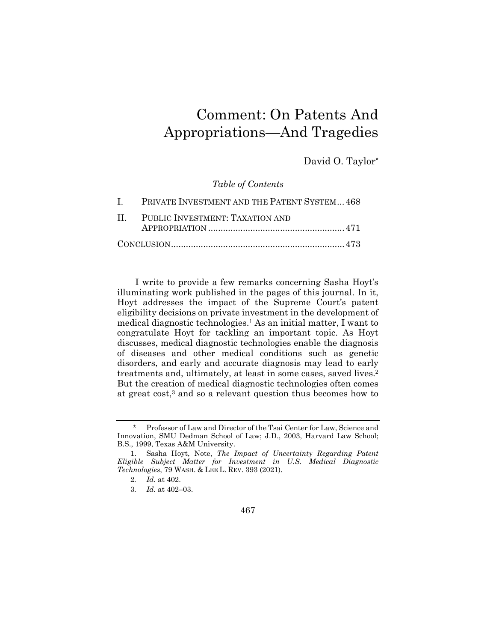# Comment: On Patents And Appropriations—And Tragedies

David O. Taylor\*

*Table of Contents* 

| I. PRIVATE INVESTMENT AND THE PATENT SYSTEM 468 |
|-------------------------------------------------|
| II. PUBLIC INVESTMENT: TAXATION AND             |
|                                                 |
|                                                 |

I write to provide a few remarks concerning Sasha Hoyt's illuminating work published in the pages of this journal. In it, Hoyt addresses the impact of the Supreme Court's patent eligibility decisions on private investment in the development of medical diagnostic technologies.1 As an initial matter, I want to congratulate Hoyt for tackling an important topic. As Hoyt discusses, medical diagnostic technologies enable the diagnosis of diseases and other medical conditions such as genetic disorders, and early and accurate diagnosis may lead to early treatments and, ultimately, at least in some cases, saved lives.2 But the creation of medical diagnostic technologies often comes at great cost,3 and so a relevant question thus becomes how to

467

<sup>\*</sup> Professor of Law and Director of the Tsai Center for Law, Science and Innovation, SMU Dedman School of Law; J.D., 2003, Harvard Law School; B.S., 1999, Texas A&M University.

 <sup>1.</sup> Sasha Hoyt, Note, *The Impact of Uncertainty Regarding Patent Eligible Subject Matter for Investment in U.S. Medical Diagnostic Technologies*, 79 WASH. & LEE L. REV. 393 (2021).

<sup>2</sup>*. Id.* at 402.

<sup>3</sup>*. Id.* at 402–03.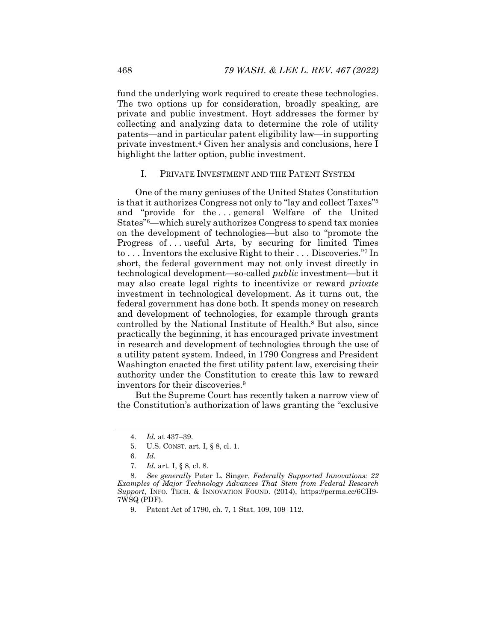fund the underlying work required to create these technologies. The two options up for consideration, broadly speaking, are private and public investment. Hoyt addresses the former by collecting and analyzing data to determine the role of utility patents—and in particular patent eligibility law—in supporting private investment.4 Given her analysis and conclusions, here I highlight the latter option, public investment.

### I. PRIVATE INVESTMENT AND THE PATENT SYSTEM

One of the many geniuses of the United States Constitution is that it authorizes Congress not only to "lay and collect Taxes"5 and "provide for the...general Welfare of the United States"6—which surely authorizes Congress to spend tax monies on the development of technologies—but also to "promote the Progress of ... useful Arts, by securing for limited Times to . . . Inventors the exclusive Right to their . . . Discoveries."7 In short, the federal government may not only invest directly in technological development—so-called *public* investment—but it may also create legal rights to incentivize or reward *private* investment in technological development. As it turns out, the federal government has done both. It spends money on research and development of technologies, for example through grants controlled by the National Institute of Health.8 But also, since practically the beginning, it has encouraged private investment in research and development of technologies through the use of a utility patent system. Indeed, in 1790 Congress and President Washington enacted the first utility patent law, exercising their authority under the Constitution to create this law to reward inventors for their discoveries.9

But the Supreme Court has recently taken a narrow view of the Constitution's authorization of laws granting the "exclusive

<sup>4</sup>*. Id.* at 437–39.

 <sup>5.</sup> U.S. CONST. art. I, § 8, cl. 1.

<sup>6</sup>*. Id.*

<sup>7</sup>*. Id.* art. I, § 8, cl. 8.

<sup>8</sup>*. See generally* Peter L. Singer, *Federally Supported Innovations: 22 Examples of Major Technology Advances That Stem from Federal Research Support*, INFO. TECH. & INNOVATION FOUND. (2014), https://perma.cc/6CH9- 7WSQ (PDF).

<sup>9.</sup> Patent Act of 1790, ch. 7, 1 Stat. 109, 109-112.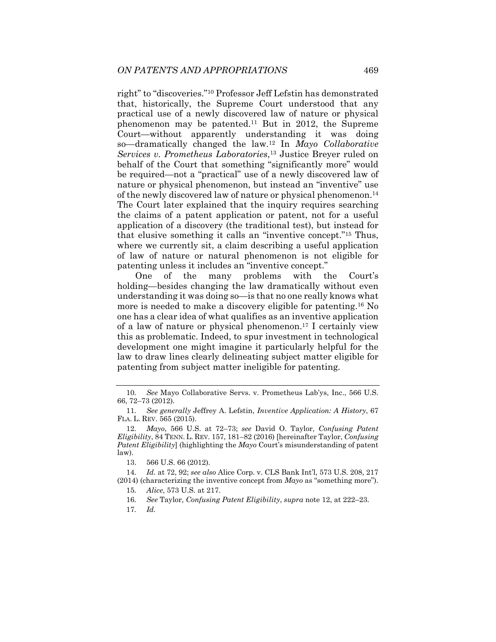right" to "discoveries."10 Professor Jeff Lefstin has demonstrated that, historically, the Supreme Court understood that any practical use of a newly discovered law of nature or physical phenomenon may be patented.11 But in 2012, the Supreme Court—without apparently understanding it was doing so—dramatically changed the law.12 In *Mayo Collaborative Services v. Prometheus Laboratories*,13 Justice Breyer ruled on behalf of the Court that something "significantly more" would be required—not a "practical" use of a newly discovered law of nature or physical phenomenon, but instead an "inventive" use of the newly discovered law of nature or physical phenomenon.14 The Court later explained that the inquiry requires searching the claims of a patent application or patent, not for a useful application of a discovery (the traditional test), but instead for that elusive something it calls an "inventive concept."15 Thus, where we currently sit, a claim describing a useful application of law of nature or natural phenomenon is not eligible for patenting unless it includes an "inventive concept."

One of the many problems with the Court's holding—besides changing the law dramatically without even understanding it was doing so—is that no one really knows what more is needed to make a discovery eligible for patenting.16 No one has a clear idea of what qualifies as an inventive application of a law of nature or physical phenomenon.17 I certainly view this as problematic. Indeed, to spur investment in technological development one might imagine it particularly helpful for the law to draw lines clearly delineating subject matter eligible for patenting from subject matter ineligible for patenting.

15*. Alice*, 573 U.S. at 217.

16*. See* Taylor, *Confusing Patent Eligibility*, *supra* note 12, at 222–23.

17*. Id.*

<sup>10</sup>*. See* Mayo Collaborative Servs. v. Prometheus Lab'ys, Inc., 566 U.S. 66, 72–73 (2012).

<sup>11</sup>*. See generally* Jeffrey A. Lefstin, *Inventive Application: A History*, 67 FLA. L. REV. 565 (2015).

<sup>12</sup>*. Mayo*, 566 U.S. at 72–73; *see* David O. Taylor, *Confusing Patent Eligibility*, 84 TENN. L. REV. 157, 181–82 (2016) [hereinafter Taylor, *Confusing Patent Eligibility*] (highlighting the *Mayo* Court's misunderstanding of patent law).

 <sup>13. 566</sup> U.S. 66 (2012).

<sup>14</sup>*. Id.* at 72, 92; *see also* Alice Corp. v. CLS Bank Int'l, 573 U.S. 208, 217 (2014) (characterizing the inventive concept from *Mayo* as "something more").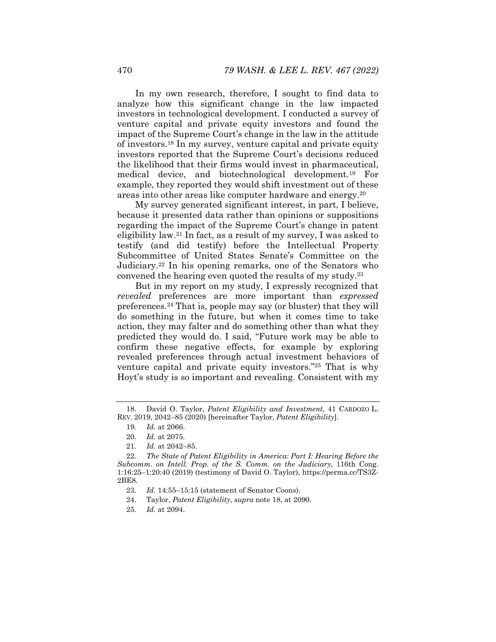In my own research, therefore, I sought to find data to analyze how this significant change in the law impacted investors in technological development. I conducted a survey of venture capital and private equity investors and found the impact of the Supreme Court's change in the law in the attitude of investors.18 In my survey, venture capital and private equity investors reported that the Supreme Court's decisions reduced the likelihood that their firms would invest in pharmaceutical, medical device, and biotechnological development.19 For example, they reported they would shift investment out of these areas into other areas like computer hardware and energy.20

My survey generated significant interest, in part, I believe, because it presented data rather than opinions or suppositions regarding the impact of the Supreme Court's change in patent eligibility law.21 In fact, as a result of my survey, I was asked to testify (and did testify) before the Intellectual Property Subcommittee of United States Senate's Committee on the Judiciary.22 In his opening remarks, one of the Senators who convened the hearing even quoted the results of my study.23

But in my report on my study, I expressly recognized that *revealed* preferences are more important than *expressed* preferences.24 That is, people may say (or bluster) that they will do something in the future, but when it comes time to take action, they may falter and do something other than what they predicted they would do. I said, "Future work may be able to confirm these negative effects, for example by exploring revealed preferences through actual investment behaviors of venture capital and private equity investors."25 That is why Hoyt's study is so important and revealing. Consistent with my

25*. Id.* at 2094.

 <sup>18.</sup> David O. Taylor, *Patent Eligibility and Investment*, 41 CARDOZO L. REV. 2019, 2042–85 (2020) [hereinafter Taylor, *Patent Eligibility*].

<sup>19</sup>*. Id.* at 2066.

<sup>20</sup>*. Id.* at 2075.

<sup>21</sup>*. Id.* at 2042–85.

<sup>22</sup>*. The State of Patent Eligibility in America: Part I: Hearing Before the Subcomm. on Intell. Prop. of the S. Comm. on the Judiciary*, 116th Cong. 1:16:25–1:20:40 (2019) (testimony of David O. Taylor), https://perma.cc/TS3Z-2BE8.

<sup>23</sup>*. Id.* 14:55–15:15 (statement of Senator Coons).

 <sup>24.</sup> Taylor, *Patent Eligibility*, *supra* note 18, at 2090.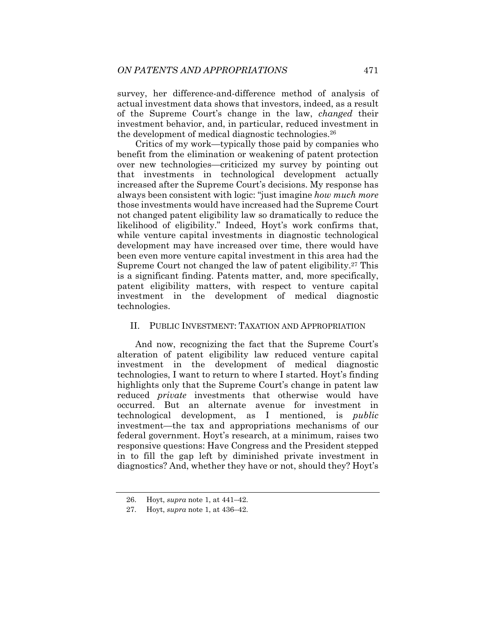survey, her difference-and-difference method of analysis of actual investment data shows that investors, indeed, as a result of the Supreme Court's change in the law, *changed* their investment behavior, and, in particular, reduced investment in the development of medical diagnostic technologies.26

Critics of my work—typically those paid by companies who benefit from the elimination or weakening of patent protection over new technologies—criticized my survey by pointing out that investments in technological development actually increased after the Supreme Court's decisions. My response has always been consistent with logic: "just imagine *how much more* those investments would have increased had the Supreme Court not changed patent eligibility law so dramatically to reduce the likelihood of eligibility." Indeed, Hoyt's work confirms that, while venture capital investments in diagnostic technological development may have increased over time, there would have been even more venture capital investment in this area had the Supreme Court not changed the law of patent eligibility.27 This is a significant finding. Patents matter, and, more specifically, patent eligibility matters, with respect to venture capital investment in the development of medical diagnostic technologies.

### II. PUBLIC INVESTMENT: TAXATION AND APPROPRIATION

And now, recognizing the fact that the Supreme Court's alteration of patent eligibility law reduced venture capital investment in the development of medical diagnostic technologies, I want to return to where I started. Hoyt's finding highlights only that the Supreme Court's change in patent law reduced *private* investments that otherwise would have occurred. But an alternate avenue for investment in technological development, as I mentioned, is *public* investment—the tax and appropriations mechanisms of our federal government. Hoyt's research, at a minimum, raises two responsive questions: Have Congress and the President stepped in to fill the gap left by diminished private investment in diagnostics? And, whether they have or not, should they? Hoyt's

 <sup>26.</sup> Hoyt, *supra* note 1, at 441–42.

 <sup>27.</sup> Hoyt, *supra* note 1, at 436–42.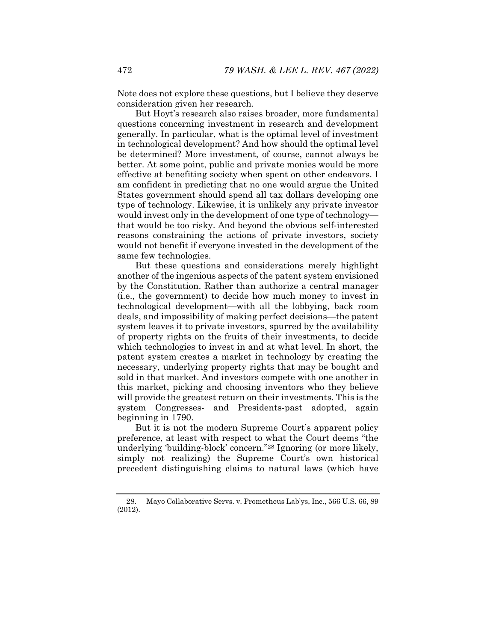Note does not explore these questions, but I believe they deserve consideration given her research.

But Hoyt's research also raises broader, more fundamental questions concerning investment in research and development generally. In particular, what is the optimal level of investment in technological development? And how should the optimal level be determined? More investment, of course, cannot always be better. At some point, public and private monies would be more effective at benefiting society when spent on other endeavors. I am confident in predicting that no one would argue the United States government should spend all tax dollars developing one type of technology. Likewise, it is unlikely any private investor would invest only in the development of one type of technology that would be too risky. And beyond the obvious self-interested reasons constraining the actions of private investors, society would not benefit if everyone invested in the development of the same few technologies.

But these questions and considerations merely highlight another of the ingenious aspects of the patent system envisioned by the Constitution. Rather than authorize a central manager (i.e., the government) to decide how much money to invest in technological development—with all the lobbying, back room deals, and impossibility of making perfect decisions—the patent system leaves it to private investors, spurred by the availability of property rights on the fruits of their investments, to decide which technologies to invest in and at what level. In short, the patent system creates a market in technology by creating the necessary, underlying property rights that may be bought and sold in that market. And investors compete with one another in this market, picking and choosing inventors who they believe will provide the greatest return on their investments. This is the system Congresses- and Presidents-past adopted, again beginning in 1790.

But it is not the modern Supreme Court's apparent policy preference, at least with respect to what the Court deems "the underlying 'building-block' concern."28 Ignoring (or more likely, simply not realizing) the Supreme Court's own historical precedent distinguishing claims to natural laws (which have

 <sup>28.</sup> Mayo Collaborative Servs. v. Prometheus Lab'ys, Inc., 566 U.S. 66, 89 (2012).